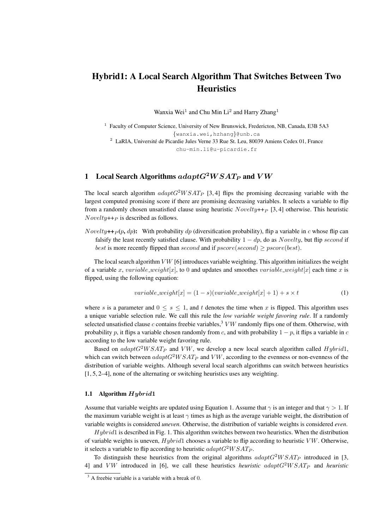# Hybrid1: A Local Search Algorithm That Switches Between Two **Heuristics**

Wanxia Wei<sup>1</sup> and Chu Min Li<sup>2</sup> and Harry Zhang<sup>1</sup>

<sup>1</sup> Faculty of Computer Science, University of New Brunswick, Fredericton, NB, Canada, E3B 5A3 {wanxia.wei,hzhang}@unb.ca <sup>2</sup> LaRIA. Université de Picardie Jules Verne 33 Rue St. Leu, 80039 Amiens Cedex 01, France chu-min.li@u-picardie.fr

# 1 Local Search Algorithms  $adaptG^2WSAT_P$  and  $VW$

The local search algorithm  $adaptG^2WSAT_P$  [3, 4] flips the promising decreasing variable with the largest computed promising score if there are promising decreasing variables. It selects a variable to flip from a randomly chosen unsatisfied clause using heuristic  $Novelly++p$  [3, 4] otherwise. This heuristic  $Novelty++p$  is described as follows.

Novelty++ $_P(p, dp)$ : With probability dp (diversification probability), flip a variable in c whose flip can falsify the least recently satisfied clause. With probability  $1 - dp$ , do as Novelty, but flip second if best is more recently flipped than second and if  $pscore(second) \geq pscore(best)$ .

The local search algorithm  $V W$  [6] introduces variable weighting. This algorithm initializes the weight of a variable x, variable weight[x], to 0 and updates and smoothes variable weight[x] each time x is flipped, using the following equation:

$$
variable\_weight[x] = (1 - s)(variable\_weight[x] + 1) + s \times t \tag{1}
$$

where s is a parameter and  $0 \leq s \leq 1$ , and t denotes the time when x is flipped. This algorithm uses a unique variable selection rule. We call this rule the *low variable weight favoring rule*. If a randomly selected unsatisfied clause c contains freebie variables,<sup>3</sup> VW randomly flips one of them. Otherwise, with probability p, it flips a variable chosen randomly from c, and with probability  $1 - p$ , it flips a variable in c according to the low variable weight favoring rule.

Based on  $adaptG^2WSAT_P$  and VW, we develop a new local search algorithm called Hybrid1, which can switch between  $adaptG^2WSAT_P$  and  $VW$ , according to the evenness or non-evenness of the distribution of variable weights. Although several local search algorithms can switch between heuristics [1, 5, 2–4], none of the alternating or switching heuristics uses any weighting.

#### 1.1 Algorithm  $Hybrid1$

Assume that variable weights are updated using Equation 1. Assume that  $\gamma$  is an integer and that  $\gamma > 1$ . If the maximum variable weight is at least  $\gamma$  times as high as the average variable weight, the distribution of variable weights is considered *uneven*. Otherwise, the distribution of variable weights is considered *even*.

 $Hybrid$  is described in Fig. 1. This algorithm switches between two heuristics. When the distribution of variable weights is uneven,  $Hybrid$  chooses a variable to flip according to heuristic  $VW$ . Otherwise, it selects a variable to flip according to heuristic  $adaptG^2WSAT_P$ .

To distinguish these heuristics from the original algorithms  $adaptG^2WSAT_P$  introduced in [3, 4] and  $V W$  introduced in [6], we call these heuristics *heuristic adapt* $G<sup>2</sup>WSAT<sub>P</sub>$  and *heuristic* 

 $3$  A freebie variable is a variable with a break of 0.